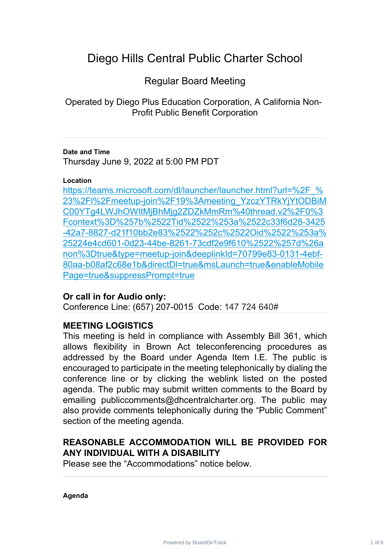# Diego Hills Central Public Charter School

Regular Board Meeting

Operated by Diego Plus Education Corporation, A California Non-Profit Public Benefit Corporation

### **Date and Time**

Thursday June 9, 2022 at 5:00 PM PDT

#### **Location**

https://teams.microsoft.com/dl/launcher/launcher.html?url=%2F % 23%2Fl%2Fmeetup-join%2F19%3Ameeting\_YzczYTRkYjYtODBiM [C00YTg4LWJhOWItMjBhMjg2ZDZkMmRm%40thread.v2%2F0%3](https://teams.microsoft.com/dl/launcher/launcher.html?url=%2F_%23%2Fl%2Fmeetup-join%2F19%3Ameeting_YzczYTRkYjYtODBiMC00YTg4LWJhOWItMjBhMjg2ZDZkMmRm%40thread.v2%2F0%3Fcontext%3D%257b%2522Tid%2522%253a%2522c33f6d28-3425-42a7-8827-d21f10bb2e83%2522%252c%2522Oid%2522%253a%25224e4cd601-0d23-44be-8261-73cdf2e9f610%2522%257d%26anon%3Dtrue&type=meetup-join&deeplinkId=70799e83-0131-4ebf-80aa-b08af2c68e1b&directDl=true&msLaunch=true&enableMobilePage=true&suppressPrompt=true) Fcontext%3D%257b%2522Tid%2522%253a%2522c33f6d28-3425 [-42a7-8827-d21f10bb2e83%2522%252c%2522Oid%2522%253a%](https://teams.microsoft.com/dl/launcher/launcher.html?url=%2F_%23%2Fl%2Fmeetup-join%2F19%3Ameeting_YzczYTRkYjYtODBiMC00YTg4LWJhOWItMjBhMjg2ZDZkMmRm%40thread.v2%2F0%3Fcontext%3D%257b%2522Tid%2522%253a%2522c33f6d28-3425-42a7-8827-d21f10bb2e83%2522%252c%2522Oid%2522%253a%25224e4cd601-0d23-44be-8261-73cdf2e9f610%2522%257d%26anon%3Dtrue&type=meetup-join&deeplinkId=70799e83-0131-4ebf-80aa-b08af2c68e1b&directDl=true&msLaunch=true&enableMobilePage=true&suppressPrompt=true) 25224e4cd601-0d23-44be-8261-73cdf2e9f610%2522%257d%26a [non%3Dtrue&type=meetup-join&deeplinkId=70799e83-0131-4ebf-](https://teams.microsoft.com/dl/launcher/launcher.html?url=%2F_%23%2Fl%2Fmeetup-join%2F19%3Ameeting_YzczYTRkYjYtODBiMC00YTg4LWJhOWItMjBhMjg2ZDZkMmRm%40thread.v2%2F0%3Fcontext%3D%257b%2522Tid%2522%253a%2522c33f6d28-3425-42a7-8827-d21f10bb2e83%2522%252c%2522Oid%2522%253a%25224e4cd601-0d23-44be-8261-73cdf2e9f610%2522%257d%26anon%3Dtrue&type=meetup-join&deeplinkId=70799e83-0131-4ebf-80aa-b08af2c68e1b&directDl=true&msLaunch=true&enableMobilePage=true&suppressPrompt=true)80aa-b08af2c68e1b&directDl=true&msLaunch=true&enableMobile [Page=true&suppressPrompt=true](https://teams.microsoft.com/dl/launcher/launcher.html?url=%2F_%23%2Fl%2Fmeetup-join%2F19%3Ameeting_YzczYTRkYjYtODBiMC00YTg4LWJhOWItMjBhMjg2ZDZkMmRm%40thread.v2%2F0%3Fcontext%3D%257b%2522Tid%2522%253a%2522c33f6d28-3425-42a7-8827-d21f10bb2e83%2522%252c%2522Oid%2522%253a%25224e4cd601-0d23-44be-8261-73cdf2e9f610%2522%257d%26anon%3Dtrue&type=meetup-join&deeplinkId=70799e83-0131-4ebf-80aa-b08af2c68e1b&directDl=true&msLaunch=true&enableMobilePage=true&suppressPrompt=true)

### **Or call in for Audio only:**

Conference Line: (657) 207-0015 Code: 147 724 640#

### **MEETING LOGISTICS**

This meeting is held in compliance with Assembly Bill 361, which allows flexibility in Brown Act teleconferencing procedures as addressed by the Board under Agenda Item I.E. The public is encouraged to participate in the meeting telephonically by dialing the conference line or by clicking the weblink listed on the posted agenda. The public may submit written comments to the Board by emailing publiccomments@dhcentralcharter.org. The public may also provide comments telephonically during the "Public Comment" section of the meeting agenda.

### **REASONABLE ACCOMMODATION WILL BE PROVIDED FOR ANY INDIVIDUAL WITH A DISABILITY**

Please see the "Accommodations" notice below.

**Agenda**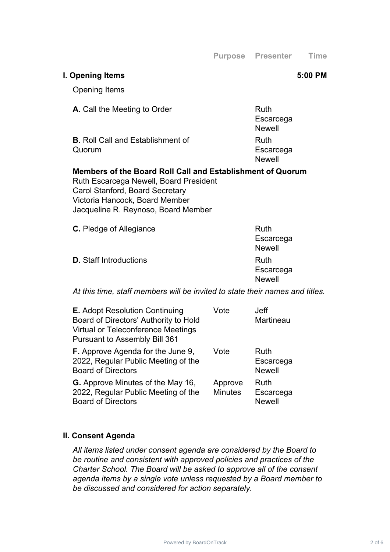**Purpose Presenter Time**

### **I. Opening Items 5:00 PM**

Quorum

Opening Items

**A.** Call the Meeting to Order **Ruth** 

**B.** Roll Call and Establishment of

**Escarcega** Newell Ruth Escarcega **Newell** 

## **Members of the Board Roll Call and Establishment of Quorum**

Ruth Escarcega Newell, Board President Carol Stanford, Board Secretary Victoria Hancock, Board Member Jacqueline R. Reynoso, Board Member

| <b>C.</b> Pledge of Allegiance | <b>Ruth</b>   |
|--------------------------------|---------------|
|                                | Escarcega     |
|                                | <b>Newell</b> |
| <b>D.</b> Staff Introductions  | Ruth          |
|                                | Escarcega     |
|                                | <b>Newell</b> |

*At this time, staff members will be invited to state their names and titles.*

| <b>E.</b> Adopt Resolution Continuing<br>Board of Directors' Authority to Hold<br><b>Virtual or Teleconference Meetings</b><br><b>Pursuant to Assembly Bill 361</b> | Vote                      | <b>Jeff</b><br>Martineau                  |
|---------------------------------------------------------------------------------------------------------------------------------------------------------------------|---------------------------|-------------------------------------------|
| <b>F.</b> Approve Agenda for the June 9,<br>2022, Regular Public Meeting of the<br><b>Board of Directors</b>                                                        | Vote                      | <b>Ruth</b><br>Escarcega<br><b>Newell</b> |
| <b>G.</b> Approve Minutes of the May 16,<br>2022, Regular Public Meeting of the<br><b>Board of Directors</b>                                                        | Approve<br><b>Minutes</b> | Ruth<br>Escarcega<br><b>Newell</b>        |

### **II. Consent Agenda**

*All items listed under consent agenda are considered by the Board to be routine and consistent with approved policies and practices of the Charter School. The Board will be asked to approve all of the consent agenda items by a single vote unless requested by a Board member to be discussed and considered for action separately.*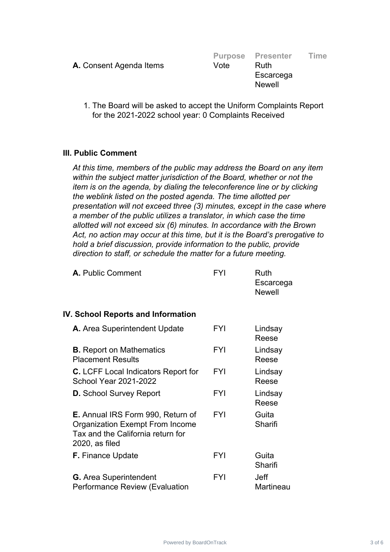|                                |      | <b>Purpose Presenter</b> | <b>Time</b> |
|--------------------------------|------|--------------------------|-------------|
| <b>A.</b> Consent Agenda Items | Vote | Ruth                     |             |
|                                |      | Escarcega                |             |
|                                |      | <b>Newell</b>            |             |

1. The Board will be asked to accept the Uniform Complaints Report for the 2021-2022 school year: 0 Complaints Received

### **III. Public Comment**

*At this time, members of the public may address the Board on any item within the subject matter jurisdiction of the Board, whether or not the item is on the agenda, by dialing the teleconference line or by clicking the weblink listed on the posted agenda. The time allotted per presentation will not exceed three (3) minutes, except in the case where a member of the public utilizes a translator, in which case the time allotted will not exceed six (6) minutes. In accordance with the Brown Act, no action may occur at this time, but it is the Board's prerogative to hold a brief discussion, provide information to the public, provide direction to staff, or schedule the matter for a future meeting.*

| A. Public Comment | <b>FYI</b> | Ruth<br>Escarcega<br>Newell |
|-------------------|------------|-----------------------------|
|                   |            |                             |

#### **IV. School Reports and Information**

| A. Area Superintendent Update                                                                                                                | <b>FYI</b> | Lindsay<br>Reese  |
|----------------------------------------------------------------------------------------------------------------------------------------------|------------|-------------------|
| <b>B.</b> Report on Mathematics<br><b>Placement Results</b>                                                                                  | <b>FYI</b> | Lindsay<br>Reese  |
| <b>C.</b> LCFF Local Indicators Report for<br><b>School Year 2021-2022</b>                                                                   | <b>FYI</b> | Lindsay<br>Reese  |
| <b>D.</b> School Survey Report                                                                                                               | <b>FYI</b> | Lindsay<br>Reese  |
| <b>E.</b> Annual IRS Form 990, Return of<br><b>Organization Exempt From Income</b><br>Tax and the California return for<br>$2020$ , as filed | <b>FYI</b> | Guita<br>Sharifi  |
| <b>F.</b> Finance Update                                                                                                                     | <b>FYI</b> | Guita<br>Sharifi  |
| <b>G.</b> Area Superintendent<br><b>Performance Review (Evaluation</b>                                                                       | <b>FYI</b> | Jeff<br>Martineau |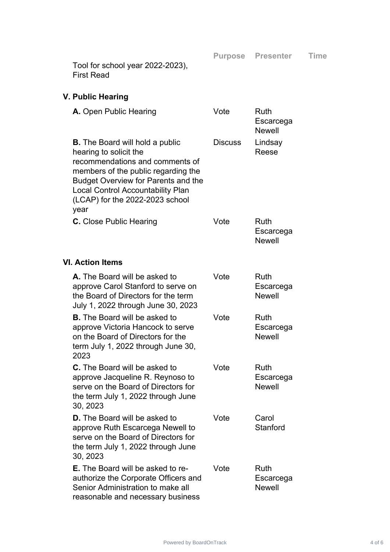**Purpose Presenter Time**

Tool for school year 2022-2023), First Read

# **V. Public Hearing**

| A. Open Public Hearing                                                                                                                                                                                                                                                          | Vote           | Ruth<br>Escarcega<br><b>Newell</b>        |
|---------------------------------------------------------------------------------------------------------------------------------------------------------------------------------------------------------------------------------------------------------------------------------|----------------|-------------------------------------------|
| <b>B.</b> The Board will hold a public<br>hearing to solicit the<br>recommendations and comments of<br>members of the public regarding the<br><b>Budget Overview for Parents and the</b><br><b>Local Control Accountability Plan</b><br>(LCAP) for the 2022-2023 school<br>year | <b>Discuss</b> | Lindsay<br>Reese                          |
| <b>C.</b> Close Public Hearing                                                                                                                                                                                                                                                  | Vote           | <b>Ruth</b><br>Escarcega<br><b>Newell</b> |
| <b>VI. Action Items</b>                                                                                                                                                                                                                                                         |                |                                           |
| <b>A.</b> The Board will be asked to<br>approve Carol Stanford to serve on<br>the Board of Directors for the term<br>July 1, 2022 through June 30, 2023                                                                                                                         | Vote           | <b>Ruth</b><br>Escarcega<br><b>Newell</b> |
| <b>B.</b> The Board will be asked to<br>approve Victoria Hancock to serve<br>on the Board of Directors for the<br>term July 1, 2022 through June 30,<br>2023                                                                                                                    | Vote           | <b>Ruth</b><br>Escarcega<br><b>Newell</b> |
| <b>C.</b> The Board will be asked to<br>approve Jacqueline R. Reynoso to<br>serve on the Board of Directors for<br>the term July 1, 2022 through June<br>30, 2023                                                                                                               | Vote           | <b>Ruth</b><br>Escarcega<br><b>Newell</b> |
| <b>D.</b> The Board will be asked to<br>approve Ruth Escarcega Newell to<br>serve on the Board of Directors for<br>the term July 1, 2022 through June<br>30, 2023                                                                                                               | Vote           | Carol<br>Stanford                         |
| <b>E.</b> The Board will be asked to re-<br>authorize the Corporate Officers and<br>Senior Administration to make all<br>reasonable and necessary business                                                                                                                      | Vote           | <b>Ruth</b><br>Escarcega<br><b>Newell</b> |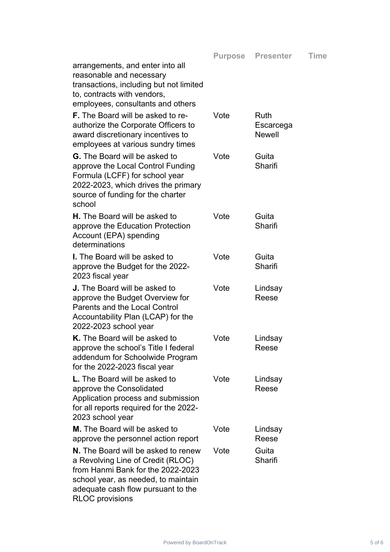| reasonable and necessary<br>transactions, including but not limited<br>to, contracts with vendors,<br>employees, consultants and others                                                           |      |                                    |
|---------------------------------------------------------------------------------------------------------------------------------------------------------------------------------------------------|------|------------------------------------|
| <b>F.</b> The Board will be asked to re-<br>authorize the Corporate Officers to<br>award discretionary incentives to<br>employees at various sundry times                                         | Vote | Ruth<br>Escarcega<br><b>Newell</b> |
| <b>G.</b> The Board will be asked to<br>approve the Local Control Funding<br>Formula (LCFF) for school year<br>2022-2023, which drives the primary<br>source of funding for the charter<br>school | Vote | Guita<br>Sharifi                   |
| <b>H.</b> The Board will be asked to<br>approve the Education Protection<br>Account (EPA) spending<br>determinations                                                                              | Vote | Guita<br>Sharifi                   |
| <b>I.</b> The Board will be asked to<br>approve the Budget for the 2022-<br>2023 fiscal year                                                                                                      | Vote | Guita<br>Sharifi                   |
| <b>J.</b> The Board will be asked to<br>approve the Budget Overview for<br><b>Parents and the Local Control</b><br>Accountability Plan (LCAP) for the<br>2022-2023 school year                    | Vote | Lindsay<br>Reese                   |
| K. The Board will be asked to<br>approve the school's Title I federal<br>addendum for Schoolwide Program<br>for the 2022-2023 fiscal year                                                         | Vote | Lindsay<br>Reese                   |
| <b>L.</b> The Board will be asked to<br>approve the Consolidated                                                                                                                                  | Vote | Lindsay<br>Reese                   |

**Purpose Presenter Time**

Reese

Sharifi

app Application process and submission for all reports required for the 2022- 2023 school year **M.** The Board will be asked to approve the personnel action report Vote Lindsay **N.** The Board will be asked to renew a Revolving Line of Credit (RLOC) Vote Guita

arrangements, and enter into all

from Hanmi Bank for the 2022-2023 school year, as needed, to maintain adequate cash flow pursuant to the RLOC provisions